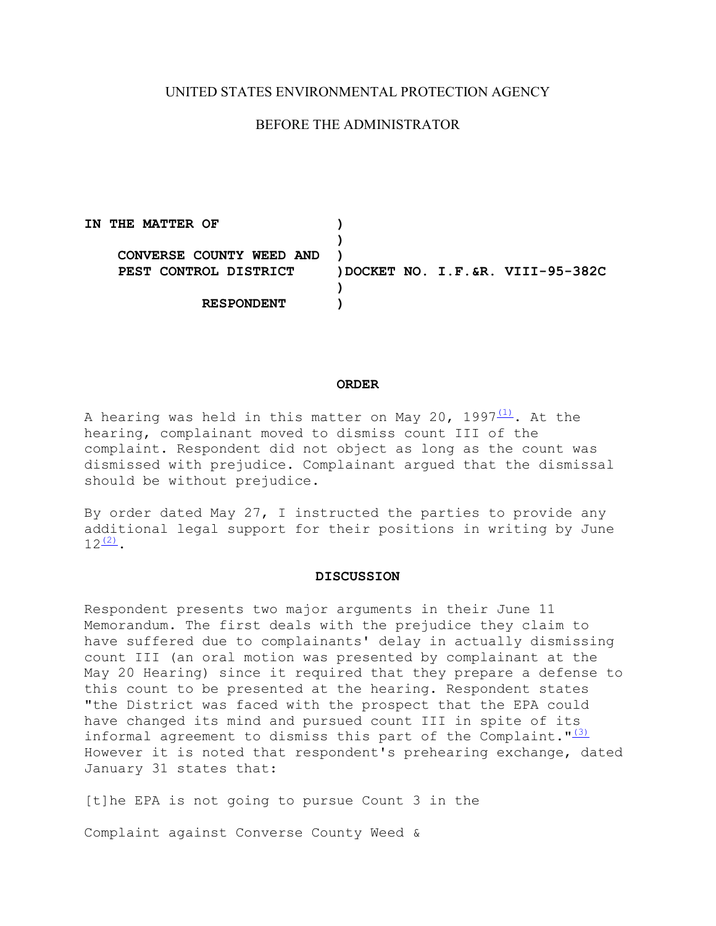## UNITED STATES ENVIRONMENTAL PROTECTION AGENCY

# BEFORE THE ADMINISTRATOR

**IN THE MATTER OF ) ) CONVERSE COUNTY WEED AND ) PEST CONTROL DISTRICT )DOCKET NO. I.F.&R. VIII-95-382C ) RESPONDENT )** 

### **ORDER**

A hearing was held in this matter on May 20, 1997 $\frac{(1)}{1}$ . At the hearing, complainant moved to dismiss count III of the complaint. Respondent did not object as long as the count was dismissed with prejudice. Complainant argued that the dismissal should be without prejudice.

By order dated May 27, I instructed the parties to provide any additional legal support for their positions in writing by June  $12^{(2)}$ .

#### **DISCUSSION**

Respondent presents two major arguments in their June 11 Memorandum. The first deals with the prejudice they claim to have suffered due to complainants' delay in actually dismissing count III (an oral motion was presented by complainant at the May 20 Hearing) since it required that they prepare a defense to this count to be presented at the hearing. Respondent states "the District was faced with the prospect that the EPA could have changed its mind and pursued count III in spite of its informal agreement to dismiss this part of the Complaint." $(3)$ However it is noted that respondent's prehearing exchange, dated January 31 states that:

[t]he EPA is not going to pursue Count 3 in the

Complaint against Converse County Weed &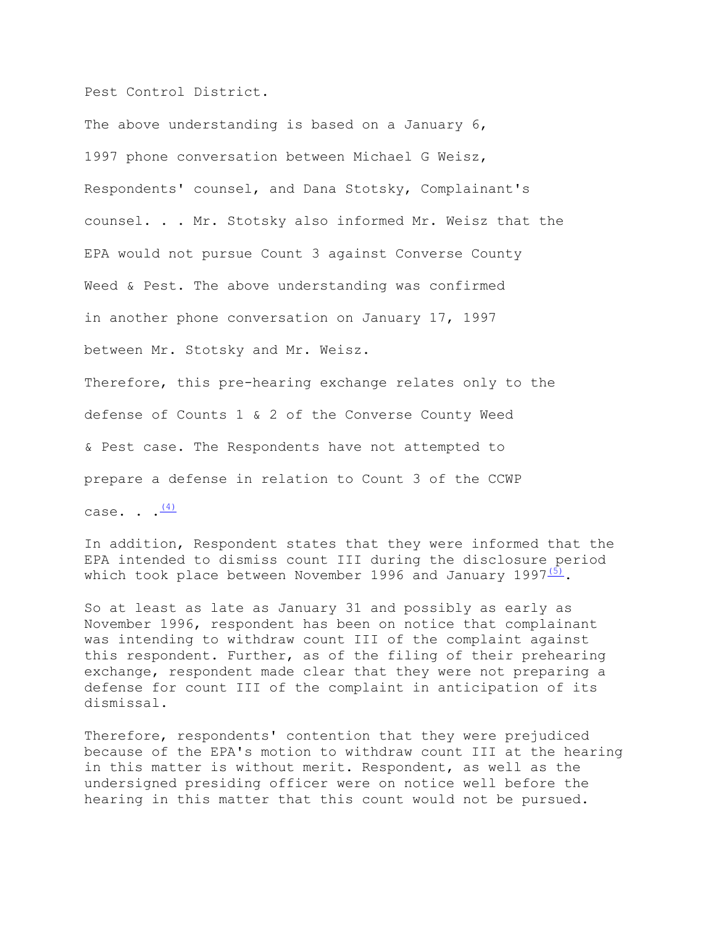Pest Control District.

The above understanding is based on a January 6, 1997 phone conversation between Michael G Weisz, Respondents' counsel, and Dana Stotsky, Complainant's counsel. . . Mr. Stotsky also informed Mr. Weisz that the EPA would not pursue Count 3 against Converse County Weed & Pest. The above understanding was confirmed in another phone conversation on January 17, 1997 between Mr. Stotsky and Mr. Weisz. Therefore, this pre-hearing exchange relates only to the defense of Counts 1 & 2 of the Converse County Weed & Pest case. The Respondents have not attempted to

prepare a defense in relation to Count 3 of the CCWP

case. .  $\frac{(4)}{2}$  $\frac{(4)}{2}$  $\frac{(4)}{2}$ 

In addition, Respondent states that they were informed that the EPA intended to dismiss count III during the disclosure period which took place between November 1996 and January 1997 $\frac{(5)}{2}$ .

So at least as late as January 31 and possibly as early as November 1996, respondent has been on notice that complainant was intending to withdraw count III of the complaint against this respondent. Further, as of the filing of their prehearing exchange, respondent made clear that they were not preparing a defense for count III of the complaint in anticipation of its dismissal.

Therefore, respondents' contention that they were prejudiced because of the EPA's motion to withdraw count III at the hearing in this matter is without merit. Respondent, as well as the undersigned presiding officer were on notice well before the hearing in this matter that this count would not be pursued.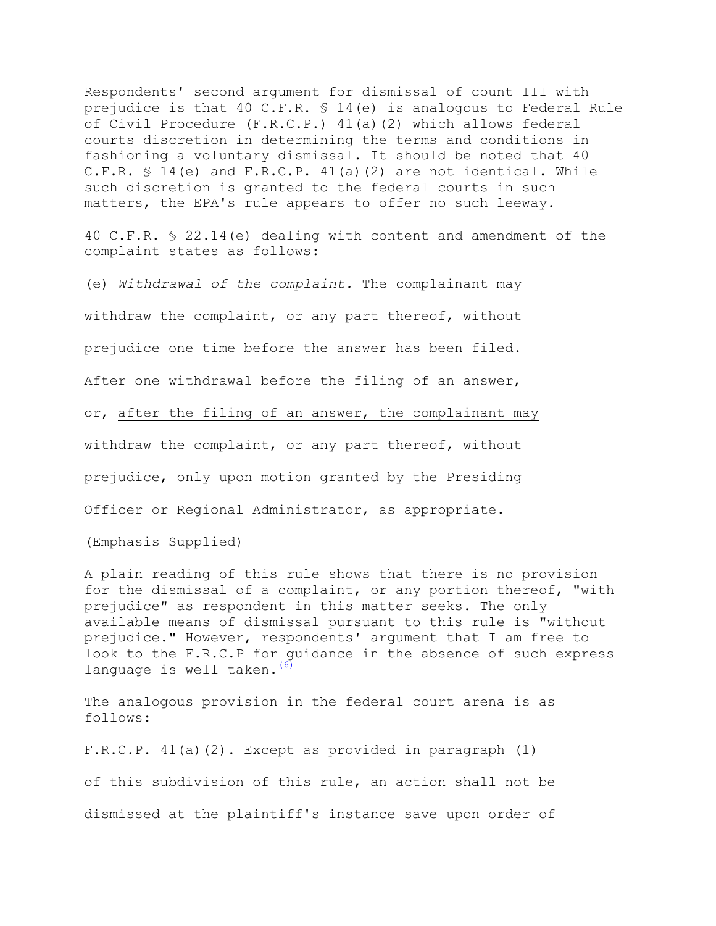Respondents' second argument for dismissal of count III with prejudice is that 40 C.F.R. § 14(e) is analogous to Federal Rule of Civil Procedure (F.R.C.P.) 41(a)(2) which allows federal courts discretion in determining the terms and conditions in fashioning a voluntary dismissal. It should be noted that 40 C.F.R.  $\{5\}$  14(e) and F.R.C.P. 41(a)(2) are not identical. While such discretion is granted to the federal courts in such matters, the EPA's rule appears to offer no such leeway.

40 C.F.R. § 22.14(e) dealing with content and amendment of the complaint states as follows:

or, <u>after the filing of an answer, the complainant may</u><br>withdraw the complaint, or any part thereof, without<br>prejudice, only upon motion granted by the Presiding<br>Officer or Regional Administrator, as appropriate. withdraw the complaint, or any part thereof, without (e) *Withdrawal of the complaint.* The complainant may withdraw the complaint, or any part thereof, without prejudice one time before the answer has been filed. After one withdrawal before the filing of an answer,

prejudice, only upon motion granted by the Presiding

(Emphasis Supplied)

language is well taken. (6) A plain reading of this rule shows that there is no provision for the dismissal of a complaint, or any portion thereof, "with prejudice" as respondent in this matter seeks. The only available means of dismissal pursuant to this rule is "without prejudice." However, respondents' argument that I am free to look to the F.R.C.P for guidance in the absence of such express

The analogous provision in the federal court arena is as follows:

F.R.C.P. 41(a)(2). Except as provided in paragraph (1) of this subdivision of this rule, an action shall not be dismissed at the plaintiff's instance save upon order of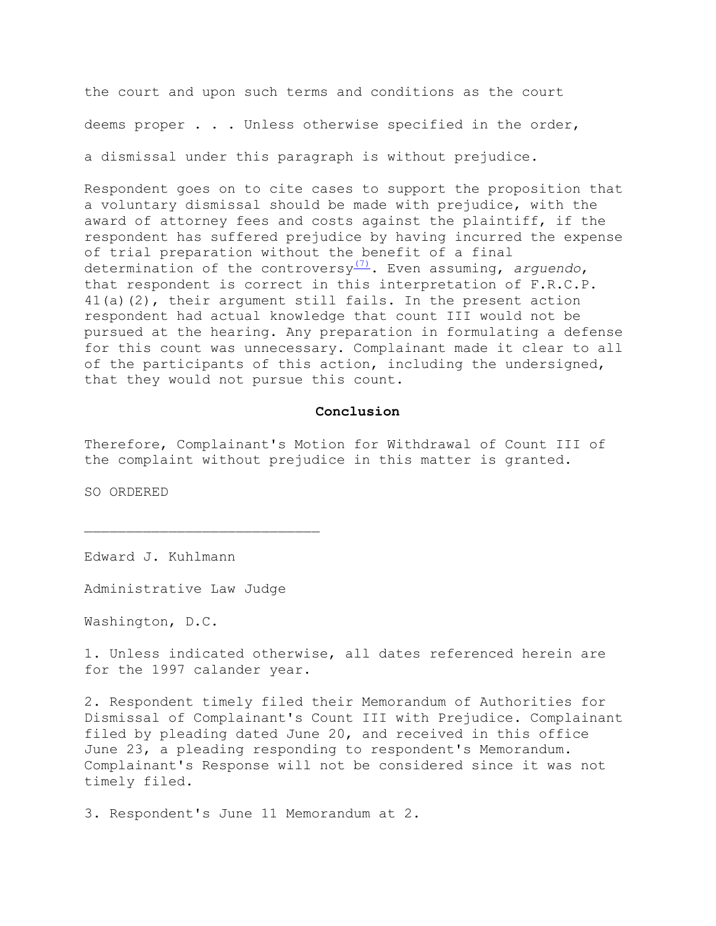the court and upon such terms and conditions as the court deems proper . . . Unless otherwise specified in the order,

a dismissal under this paragraph is without prejudice.

Respondent goes on to cite cases to support the proposition that a voluntary dismissal should be made with prejudice, with the award of attorney fees and costs against the plaintiff, if the respondent has suffered prejudice by having incurred the expense of trial preparation without the benefit of a final determination of the controversy[\(7\).](file://w1818tdcay008/share/Projects/rxx00031/dev_internet_aljhomep/web/orders/convers2.htm%23N_7_) Even assuming, *arguendo*, that respondent is correct in this interpretation of F.R.C.P. 41(a)(2), their argument still fails. In the present action respondent had actual knowledge that count III would not be pursued at the hearing. Any preparation in formulating a defense for this count was unnecessary. Complainant made it clear to all of the participants of this action, including the undersigned, that they would not pursue this count.

### **Conclusion**

Therefore, Complainant's Motion for Withdrawal of Count III of the complaint without prejudice in this matter is granted.

SO ORDERED

Edward J. Kuhlmann

Administrative Law Judge

Washington, D.C.

1. Unless indicated otherwise, all dates referenced herein are for the 1997 calander year.

2. Respondent timely filed their Memorandum of Authorities for Dismissal of Complainant's Count III with Prejudice. Complainant filed by pleading dated June 20, and received in this office June 23, a pleading responding to respondent's Memorandum. Complainant's Response will not be considered since it was not timely filed.

3. Respondent's June 11 Memorandum at 2.